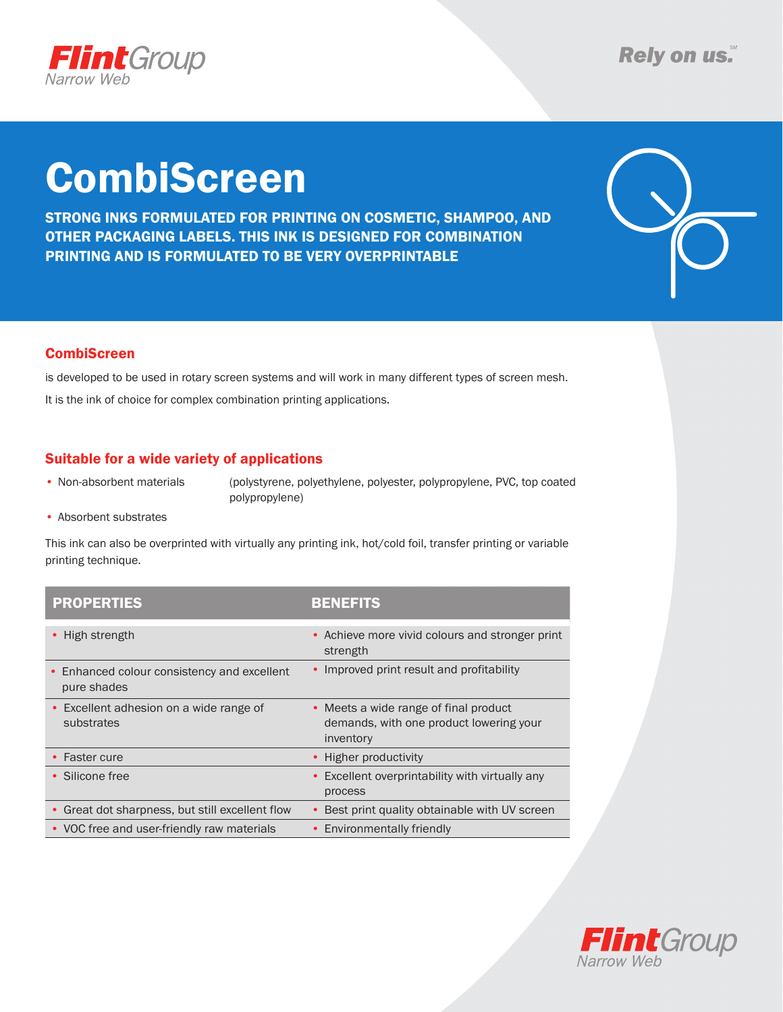

# CombiScreen

STRONG INKS FORMULATED FOR PRINTING ON COSMETIC, SHAMPOO, AND OTHER PACKAGING LABELS. THIS INK IS DESIGNED FOR COMBINATION PRINTING AND IS FORMULATED TO BE VERY OVERPRINTABLE



### **CombiScreen**

is developed to be used in rotary screen systems and will work in many different types of screen mesh. It is the ink of choice for complex combination printing applications.

### Suitable for a wide variety of applications

• Non-absorbent materials (polystyrene, polyethylene, polyester, polypropylene, PVC, top coated polypropylene)

• Absorbent substrates 

This ink can also be overprinted with virtually any printing ink, hot/cold foil, transfer printing or variable printing technique.

| <b>PROPERTIES</b>                                                     | BENEFITS                                                                                      |
|-----------------------------------------------------------------------|-----------------------------------------------------------------------------------------------|
| • High strength                                                       | • Achieve more vivid colours and stronger print<br>strength                                   |
| Enhanced colour consistency and excellent<br>$\bullet$<br>pure shades | Improved print result and profitability                                                       |
| Excellent adhesion on a wide range of<br>$\bullet$<br>substrates      | • Meets a wide range of final product<br>demands, with one product lowering your<br>inventory |
| • Faster cure                                                         | • Higher productivity                                                                         |
| • Silicone free                                                       | Excellent overprintability with virtually any<br>process                                      |
| Great dot sharpness, but still excellent flow<br>٠                    | Best print quality obtainable with UV screen                                                  |
| • VOC free and user-friendly raw materials                            | • Environmentally friendly                                                                    |